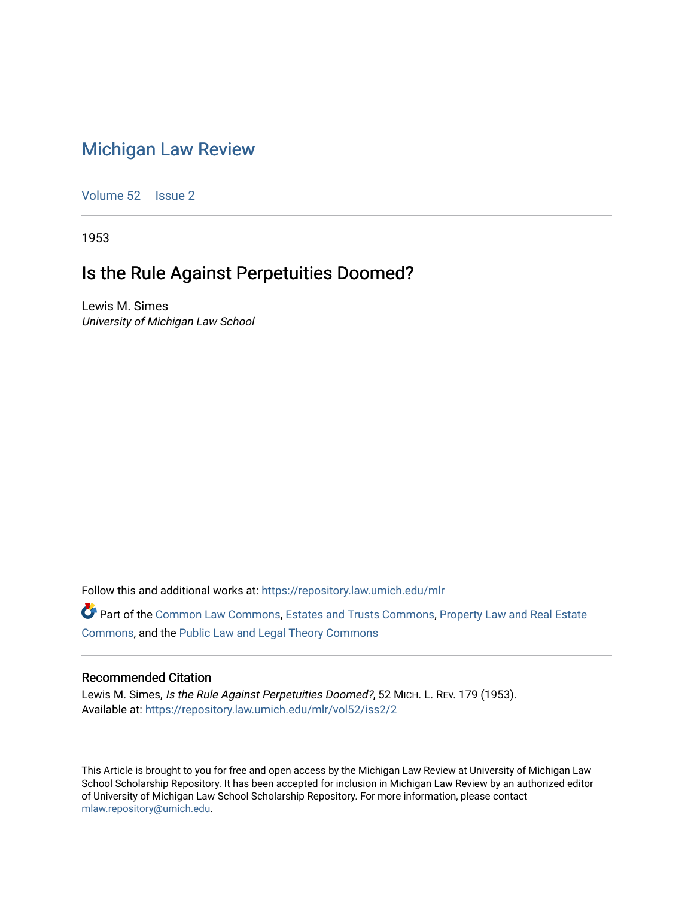# [Michigan Law Review](https://repository.law.umich.edu/mlr)

[Volume 52](https://repository.law.umich.edu/mlr/vol52) | [Issue 2](https://repository.law.umich.edu/mlr/vol52/iss2)

1953

# Is the Rule Against Perpetuities Doomed?

Lewis M. Simes University of Michigan Law School

Follow this and additional works at: [https://repository.law.umich.edu/mlr](https://repository.law.umich.edu/mlr?utm_source=repository.law.umich.edu%2Fmlr%2Fvol52%2Fiss2%2F2&utm_medium=PDF&utm_campaign=PDFCoverPages) 

Part of the [Common Law Commons,](http://network.bepress.com/hgg/discipline/1120?utm_source=repository.law.umich.edu%2Fmlr%2Fvol52%2Fiss2%2F2&utm_medium=PDF&utm_campaign=PDFCoverPages) [Estates and Trusts Commons,](http://network.bepress.com/hgg/discipline/906?utm_source=repository.law.umich.edu%2Fmlr%2Fvol52%2Fiss2%2F2&utm_medium=PDF&utm_campaign=PDFCoverPages) [Property Law and Real Estate](http://network.bepress.com/hgg/discipline/897?utm_source=repository.law.umich.edu%2Fmlr%2Fvol52%2Fiss2%2F2&utm_medium=PDF&utm_campaign=PDFCoverPages) [Commons](http://network.bepress.com/hgg/discipline/897?utm_source=repository.law.umich.edu%2Fmlr%2Fvol52%2Fiss2%2F2&utm_medium=PDF&utm_campaign=PDFCoverPages), and the [Public Law and Legal Theory Commons](http://network.bepress.com/hgg/discipline/871?utm_source=repository.law.umich.edu%2Fmlr%2Fvol52%2Fiss2%2F2&utm_medium=PDF&utm_campaign=PDFCoverPages) 

#### Recommended Citation

Lewis M. Simes, Is the Rule Against Perpetuities Doomed?, 52 MICH. L. REV. 179 (1953). Available at: [https://repository.law.umich.edu/mlr/vol52/iss2/2](https://repository.law.umich.edu/mlr/vol52/iss2/2?utm_source=repository.law.umich.edu%2Fmlr%2Fvol52%2Fiss2%2F2&utm_medium=PDF&utm_campaign=PDFCoverPages)

This Article is brought to you for free and open access by the Michigan Law Review at University of Michigan Law School Scholarship Repository. It has been accepted for inclusion in Michigan Law Review by an authorized editor of University of Michigan Law School Scholarship Repository. For more information, please contact [mlaw.repository@umich.edu.](mailto:mlaw.repository@umich.edu)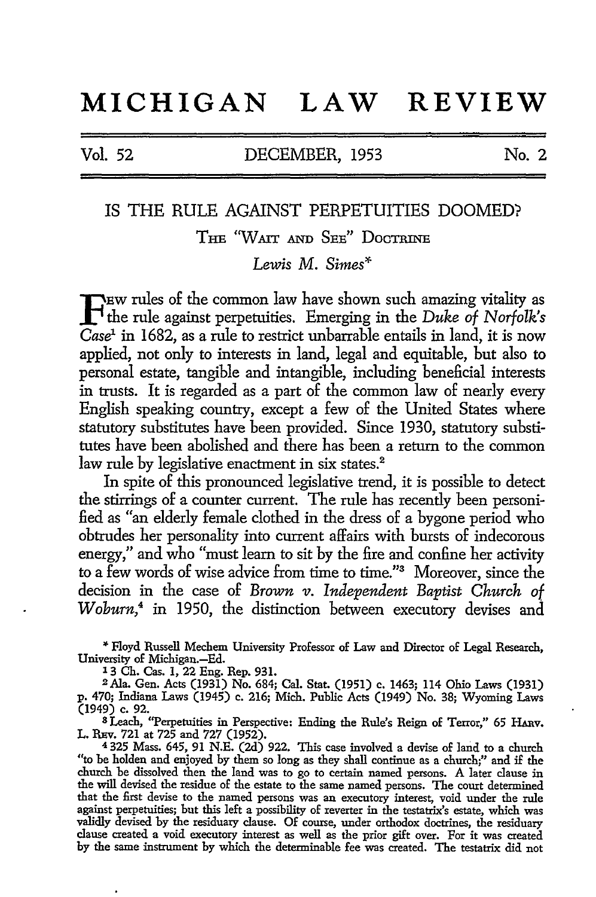# **MICHIGAN LAW REVIEW**

Vol. 52 DECEMBER, 1953 No. 2

### IS THE RULE AGAINST PERPETUITIES DOOMED?

THE "WAIT AND SEE" DocTRINE

*Lewis* M. *Simes\** 

FEW rules of the common law have shown such amazing vitality as<br>the rule against perpetuities. Emerging in the *Duke of Norfolk's*<br>Capal in 1682, as a web to restrict unbarrable ortails in land, it is now  $Case<sup>1</sup>$  in 1682, as a rule to restrict unbarrable entails in land, it is now applied, not only to interests in land, legal and equitable, but also to personal estate, tangible and intangible, including beneficial interests in trusts. It is regarded as a part of the common law of nearly every English speaking country, except a few of the United States where statutory substitutes have been provided. Since 1930, statutory substitutes have been abolished and there has been a return to the common law rule by legislative enactment in six states.<sup>2</sup>

In spite of this pronounced legislative trend, it is possible to detect the stirrings of a counter current. The rule has recently been personified as "an elderly female clothed in the dress of a bygone period who obtrudes her personality into current affairs with bursts of indecorous energy," and who "must learn to sit by the fire and confine her activity to a few words of wise advice from time to time."<sup>3</sup> Moreover, since the decision in the case of *Brown v. Independent Baptist Church of Woburn,4* in 1950, the distinction between executory devises and

"" Floyd Russell Mechem University Professor of Law and Director of Legal Research, University of Michigan.-Ed.

l 3 Ch. Cas. 1, 22 Eng. Rep. 931.

2Afa. Gen. Acts (1931) No. 684; Cal. Stat. (1951) c. 1463; 114 Ohio Laws (1931) p. 470; Indiana Laws (1945) c. 216; Mich. Public Acts (1949) No. 38; Wyoming Laws (1949) c. 92.

s Leach, "Perpetuities in Perspective: Ending the Rule's Reign of Terror," 65 HARv. L. REv. 721 at 725 and 727 (1952).

<sup>4</sup>325 Mass. 645, 91 N.E. (2d) 922. This case involved a devise of land to a church "to be holden and enjoyed by them so long as they shall continue as a church;" and if the church be dissolved then the land was to go to certain named persons. A later clause in the will devised the residue of the estate to the same named persons. The court determined that the first devise to the named persons was an executory interest, void under the rule against perpetuities; but this left a possibility of reverter in the testatrix's estate, which was validly devised by the residuary clause. Of course, under orthodox doctrines, the residuary clause created a void executory interest as well as the prior gift over. For it was created by the same instrument by which the determinable fee was created. The testatrix did not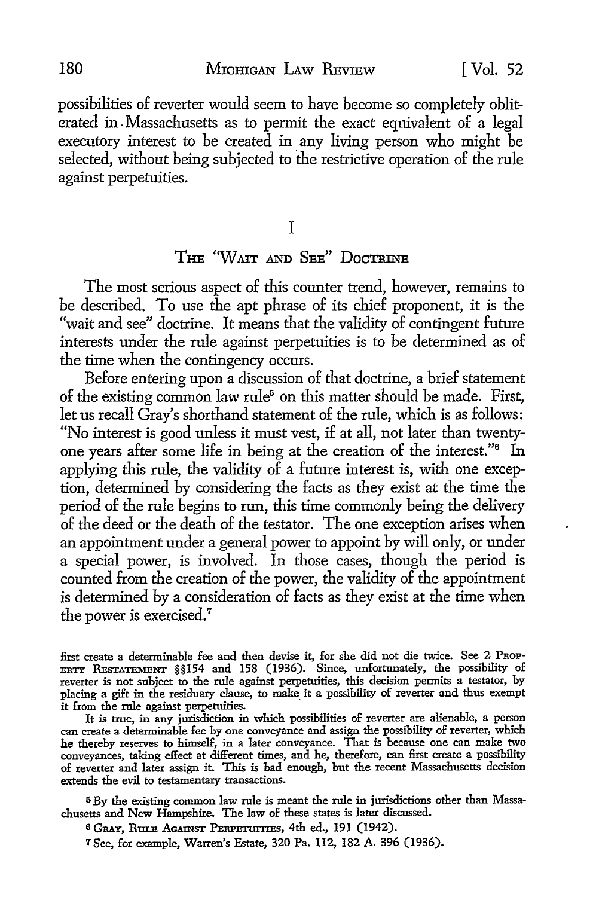possibilities of reverter would seem to have become so completely obliterated in . Massachusetts as to permit the exact equivalent of a legal executory interest to be created in any living person who might be selected, without being subjected to the restrictive operation of the rule against perpetuities.

I

## THE "WAIT AND SEE" DOCTRINE

The most serious aspect of this counter trend, however, remains to be described. To use the apt phrase of its chief proponent, it is the "wait and see" doctrine. It means that the validity of contingent future interests under the rule against perpetuities is to be determined as of the time when the contingency occurs.

Before entering upon a discussion of that doctrine, a brief statement of the existing common law rule<sup>5</sup> on this matter should be made. First, let us recall Gray's shorthand statement of the rule, which is as follows: "No interest is good unless it must vest, if at all, not later than twentyone years after some life in being at the creation of the interest."6 In applying this rule, the validity of a future interest is, with one exception, determined by considering the facts as they exist at the time the period of the rule begins to run, this time commonly being the delivery of the deed or the death of the testator. The one exception arises when an appointment under a general power to appoint by will only, or under a special power, is involved. In those cases, though the period is counted from the creation of the power, the validity of the appointment is determined by a consideration of facts as they exist at the time when the power is exercised.<sup>7</sup>

first create a determinable fee and then devise it, for she did not die twice. See 2 PROP-ERTY RESTATEMENT §§154 and 158 (1936). Since, unfortunately, the possibility of reverter is not subject to the rule against perpetuities, this decision permits a testator, by placing a gift in the residuary clause, to make it a possibility of reverter and thus exempt it from the rule against perpetuities.

It is true, in any jurisdiction in which possibilities of reverter are alienable, a person can create a determinable fee by one conveyance and assign the possibility of reverter, which he thereby reserves to himself, in a later conveyance. That is because one can make two conveyances, taking effect at different times, and he, therefore, can first create a possibility of reverter and later assign it. This is bad enough, but the recent Massachusetts decision extends the evil to testamentary transactions.

5 By the existing common law rule is meant the rule in jurisdictions other than Massachusetts and New Hampshire. The law of these states is later discussed.

6 GRAY, RULE AGAINST PERPETUITIES, 4th ed., 191 (1942).

7 See, for example, Warren's Estate, 320 Pa. 112, 182 A. 396 (1936).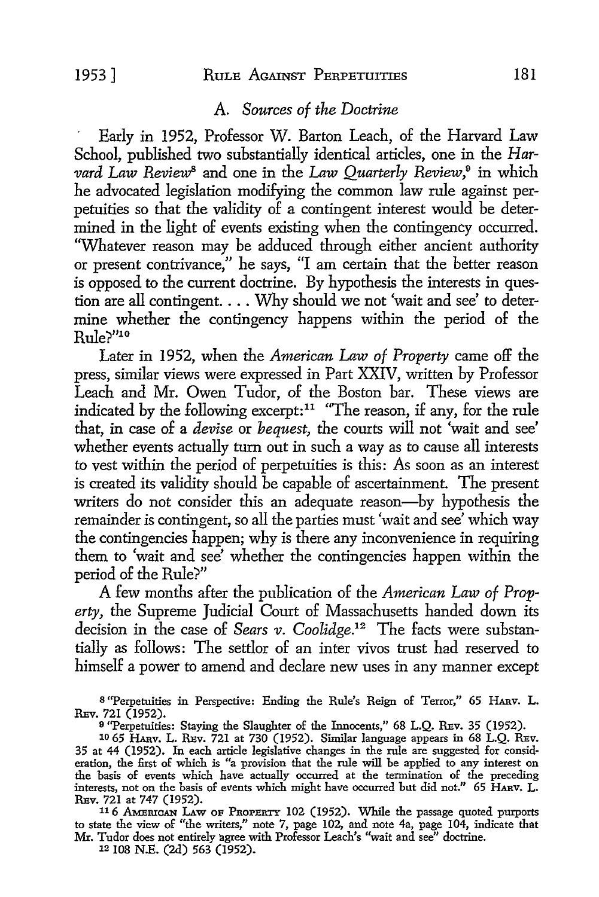### A. *Sources of the Doctrine*

Early in 1952, Professor W. Barton Leach, of the Harvard Law School, published two substantially identical articles, one in the *Harvard Law Review8* and one in the *Law Quarterly Review,°* in which he advocated legislation modifying the common law rule against perpetuities so that the validity of a contingent interest would be determined in the light of events existing when the contingency occurred. ''Whatever reason may be adduced through either ancient authority or present contrivance," he says, "I am certain that the better reason is opposed to the current doctrine. By hypothesis the interests in question are all contingent. . . . Why should we not 'wait and see' to determine whether the contingency happens within the period of the Rule?"10

Later in 1952, when the *American Law of Property* came off the press, similar views were expressed in Part XXIV, written by Professor Leach and Mr. Owen Tudor, of the Boston bar. These views are indicated by the following excerpt: $11$  "The reason, if any, for the rule that, in case of a *devise* or *bequest,* the courts will not 'wait and see' whether events actually turn out in such a way as to cause all interests to vest within the period of perpetuities is this: As soon as an interest is created its validity should be capable of ascertainment. The present writers do not consider this an adequate reason-by hypothesis the remainder is contingent, so all the parties must 'wait and see' which way the contingencies happen; why is there any inconvenience in requiring them to 'wait and see' whether the contingencies happen within the period of the Rule?"

A few months after the publication of the *American Law of Property,* the Supreme Judicial Court of Massachusetts handed down its decision in the case of *Sears v. Coolidge.12* The facts were substantially as follows: The settlor of an inter vivos trust had reserved to himself a power to amend and declare new uses in any manner except

<sup>8</sup>"Perpetuities in Perspective: Ending the Rule's Reign of Terror," 65 HAnv. L. REV. 721 (1952).

<sup>9</sup> "Perpetuities: Staying the Slaughter of the Innocents," 68 L.Q. REV. 35 (1952).

 $1065$  HARV. L. REV.  $721$  at  $730$  (1952). Similar language appears in 68 L.Q. REV. 35 at 44 (1952). In each article legislative changes in the rule are suggested for consideration, the fust of which is "a provision that the rule will be applied to any interest on the basis of events which have actually occurred at the termination of the preceding interests, not on the basis of events which might have occurred but did not." 65 HARV. L. REV. 721 at 747 (1952).

116 AMERICAN LAw OF PROPERTY 102 (1952). While the passage quoted purports to state the view of "the writers," note 7, page 102, and note 4a, page 104, indicate that Mr. Tudor does not entirely agree with Professor Leach's "wait and see" doctrine.

12 108 N.E. (2d) 563 (1952).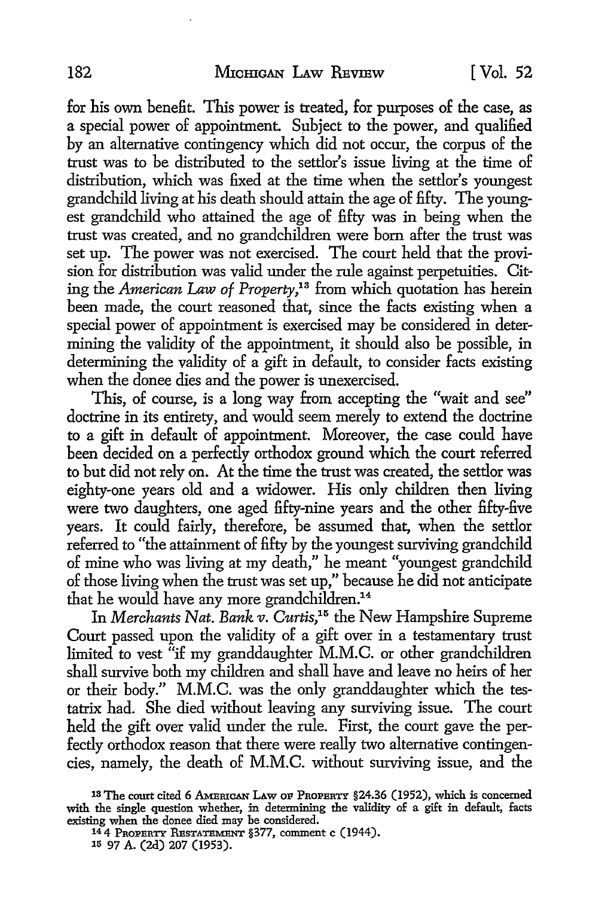for his own benefit. This power is treated, for purposes of the case, as a special power of appointment. Subject to the power, and qualified by an alternative contingency which did not occur, the corpus of the trust was to be distributed to the settlor's issue living at the time of distribution, which was fixed at the time when the settlor's youngest grandchild living at his death should attain the age of fifty. The youngest grandchild who attained the age of fifty was in being when the trust was created, and no grandchildren were born after the trust was set up. The power was not exercised. The court held that the provision for distribution was valid under the rule against perpetuities. Citing the *American* Law *of Property,1*3 from which quotation has herein been made, the court reasoned that, since the facts existing when a special power of appointment is exercised may be considered in determining the validity of the appointment, it should also be possible, in determining the validity of a gift in default, to consider facts existing when the donee dies and the power is unexercised.

This, of course, is a long way from accepting the "wait and see" doctrine in its entirety, and would seem merely to extend the doctrine to a gift in default of appointment. Moreover, the case could have been decided on a perfectly orthodox ground which the court referred to but did not rely on. At the time the trust was created, the settlor was eighty-one years old and a widower. His only children then living were two daughters, one aged fifty-nine years and the other fifty-five years. It could fairly, therefore, be assumed that, when the settlor referred to "the attainment of fifty by the youngest surviving grandchild of mine who was living at my death," he meant "youngest grandchild of those living when the trust was set up," because he did not anticipate that he would have any more grandchildren.<sup>14</sup>

In *Merchants Nat. Bank v. Curtis*,<sup>15</sup> the New Hampshire Supreme Court passed upon the validity of a gift over in a testamentary trust limited to vest "if my granddaughter M.M.C. or other grandchildren shall survive both my children and shall have and leave no heirs of her or their body." M.M.C. was the only granddaughter which the testatrix had. She died without leaving any surviving issue. The court held the gift over valid under the rule. First, the court gave the perfectly orthodox reason that there were really two alternative contingencies, namely, the death of M.M.C. without surviving issue, and the

<sup>13</sup> The court cited 6 AMERICAN LAW OF PROPERTY §24.36 (1952), which is concerned with the single question whether, in determining the validity of a gift in default, facts existing when the donee died may be considered.

<sup>14 4</sup> PROPERTY RESTATEMENT §377, comment c (1944). 15 97 A. (2d) 207 (1953).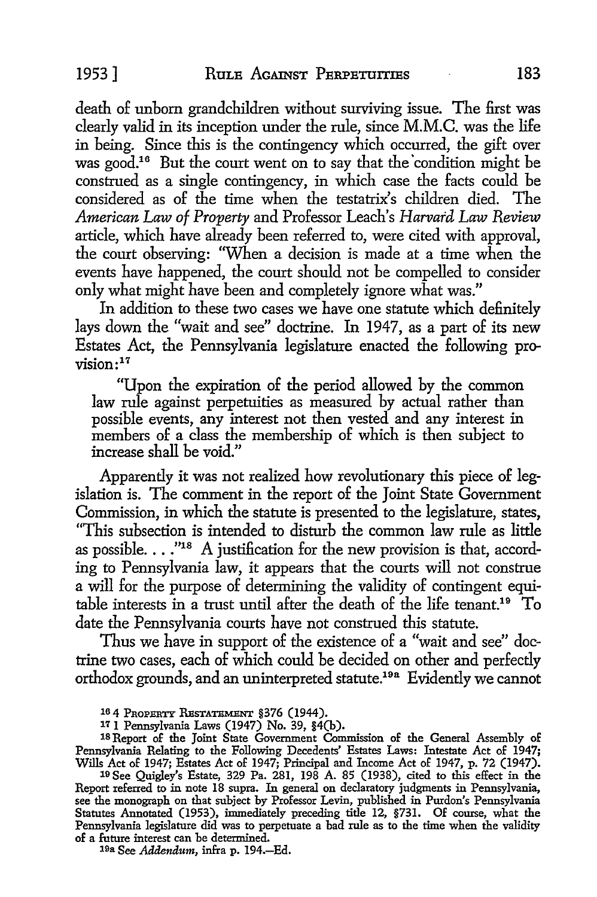death of unborn grandchildren without surviving issue. The first was clearly valid in its inception under the rule, since M.M.C. was the life in being. Since this is the contingency which occurred, the gift over was good.<sup>16</sup> But the court went on to say that the condition might be construed as a single contingency, in which case the facts could be considered as of the time when the testatrix's children died. The *American Law of Property* and Professor Leach's *Harvard Law Review*  article, which have already been referred to, were cited with approval, the court observing: "When a decision is made at a time when the events have happened, the court should not be compelled to consider only what might have been and completely ignore what was."

In addition to these two cases we have one statute which definitely lays down the "wait and see" doctrine. In 1947, as a part of its new Estates Act, the Pennsylvania legislature enacted the following pro $vision:$ <sup>17</sup>

"Upon the expiration of the period allowed by the common law rule against perpetuities as measured by actual rather than possible events, any interest not then vested and any interest in members of a class the membership of which is then subject *to*  increase shall be void."

Apparently it was not realized how revolutionary this piece of legislation is. The comment in the report of the Joint State Government Commission, in which the statute is presented to the legislature, states, "This subsection is intended to disturb the common law rule as little as possible.  $\ldots$ ."<sup>18</sup> A justification for the new provision is that, according *to* Pennsylvania law, it appears that the courts will not construe a will for the purpose of determining the validity of contingent equitable interests in a trust until after the death of the life tenant.19 To date the Pennsylvania courts have not construed this statute.

Thus we have in support of the existence of a "wait and see" doctrine two cases, each of which could be decided on other and perfectly orthodox grounds, and an uninterpreted statute.19a Evidently we cannot

18 Report of the Joint State Government Commission of the General Assembly of Pennsylvania Relating to the Following Decedents' Estates Laws: Intestate Act of 1947; Wills Act of 1947; Estates Act of 1947; Principal and Income Act of 1947, p. 72 (1947). 19 See Quigley's Estate, 329 Pa. 281, 198 A. 85 (1938), cited to this effect in the

Report referred to in note 18 supra. In general on declaratory judgments in Pennsylvania, see the monograph on that subject by Professor Levin, published in Purdon's Pennsylvania Statutes Annotated (1953), immediately preceding title 12, §731. Of course, what the Pennsylvania legislature did was to perpetuate a bad rule as to the time when the validity of a future interest can be determined.

19a See *Addendum,* infra p. 194.-Ed.

<sup>16 4</sup> PROPERTY RESTATEMENT §376 (1944).

<sup>17 1</sup> Pennsylvania Laws (1947) No. 39, §4(b).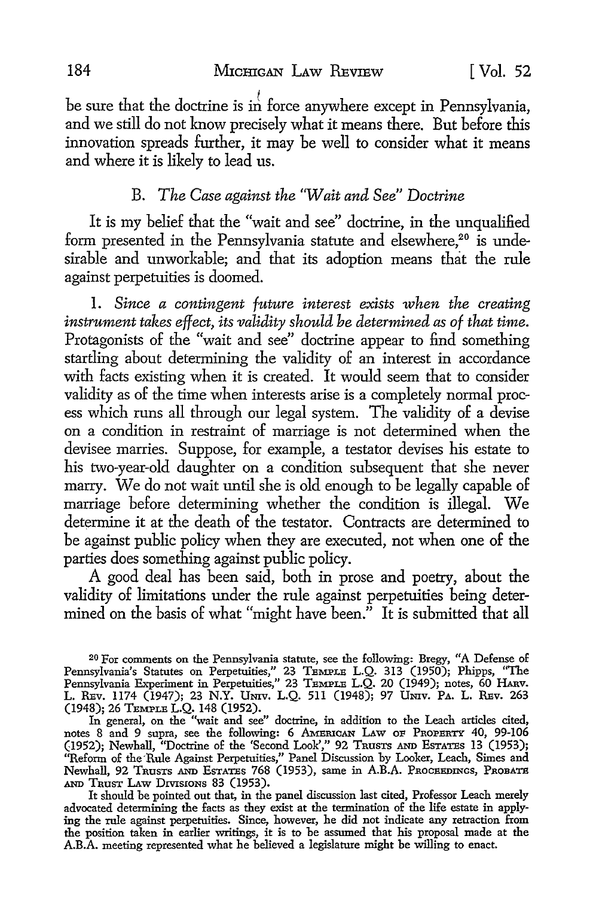be sure that the doctrine is in force anywhere except in Pennsylvania. and we still do not know precisely what it means there. But before this innovation spreads further, it may be well to consider what it means and where it is likely to lead us.

#### B. *The Case against the 'Wait and See" Doctrine*

It is my belief that the "wait and see" doctrine, in the unqualified form presented in the Pennsylvania statute and elsewhere,<sup>20</sup> is undesirable and unworkable; and that its adoption means that the rule against perpetuities is doomed.

I. *Since a contingent future interest exists when the creating instrument takes effect, its validity should be determined as of that time.*  Protagonists of the "wait and see" doctrine appear to find something startling about determining the validity of an interest in accordance with facts existing when it is created. It would seem that to consider validity as of the time when interests arise is a completely normal process which runs all through our legal system. The validity of a devise on a condition in restraint of marriage is not determined when the devisee marries. Suppose, for example, a testator devises his estate to his two-year-old daughter on a condition subsequent that she never marry. We do not wait until she is old enough to be legally capable of marriage before determining whether the condition is illegal. We determine it at the death of the testator. Contracts are determined to be against public policy when they are executed, not when one of the parties does something against public policy.

A good deal has been said, both in prose and poetry, about the validity of limitations under the rule against perpetuities being determined on the basis of what "might have been." It is submitted that all

20 For comments on the Pennsylvania statute, see the following: Bregy, "A Defense of Pennsylvania's Statutes on Perpetuities," 23 TEMPLE L.Q. 313 (1950); Phipps, "The Pennsylvania Experiment in Perpetuities," 23 TEMPLE L.Q. 20 (1949); notes, 60 HARv. L. REv. 1174 (1947); 23 N.Y. Umv. L.Q. 511 (1948); 97 Umv. PA. L. REv. 263 (1948); 26 TEMPLE L.Q, 148 (1952).

In general, on the "wait and see" doctrine, in addition to the Leach articles cited, notes 8 and 9 supra, see the following: 6 AMErucAN LAw OF PROPERTY 40, 99-106 (1952); Newhall, "Doctrine of the 'Second Look'," 92 TRUSTS AND EsTATES 13 (1953); "Reform of the-Rule Against Perpetuities,'' Panel Discussion by Looker, Leach, Simes and Newhall, 92 TRUSTS AND EsTATES 768 (1953), same in A.B.A. PROCEEDINGS, PROBATE AND TRUST LAw DIVISIONS 83 (1953).

It should be pointed out that, in the panel discussion last cited, Professor Leach merely advocated determining the facts as they exist at the termination of the life estate in applying the rule against perpetuities. Since, however, he did not indicate any retraction from the position taken in earlier writings, it is to be assumed that his proposal made at the A.B.A. meeting represented what he believed a legislature might be willing to enact.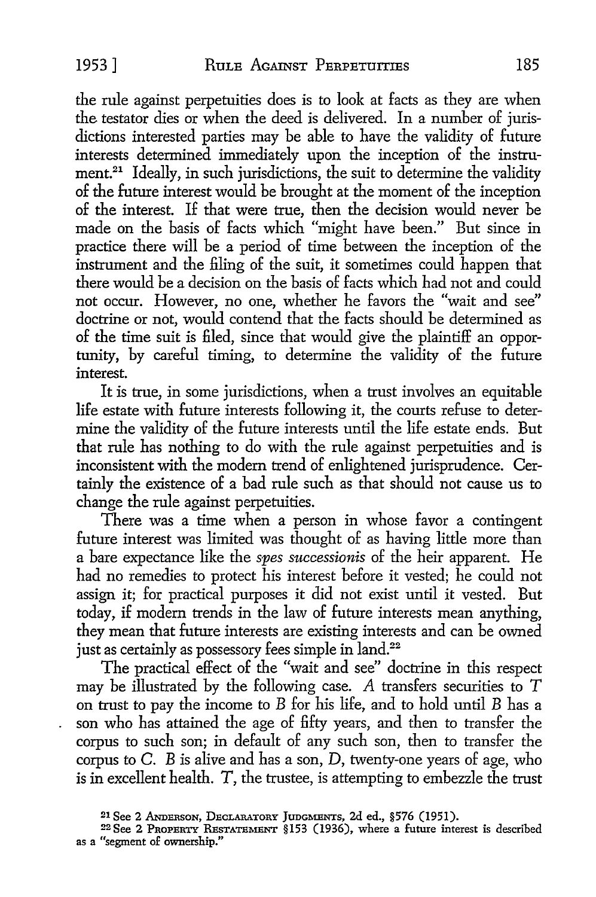the rule against perpetuities does is to look at facts as they are when the testator dies or when the deed is delivered. In a number of jurisdictions interested parties may be able to have the validity of future interests determined immediately upon the inception of the instrument.<sup>21</sup> Ideally, in such jurisdictions, the suit to determine the validity of the future interest would be brought at the moment of the inception of the interest. If that were true, then the decision would never be made on the basis of facts which "might have been." But since in practice there will be a period of time between the inception of the instrument and the filing of the suit, it sometimes could happen that there would be a decision on the basis of facts which had not and could not occur. However, no one, whether he favors the "wait and see" doctrine or not, would contend that the facts should be determined as of the time suit is filed, since that would give the plaintiff an opportunity, by careful timing, to determine the validity of the future interest.

It is true, in some jurisdictions, when a trust involves an equitable life estate with future interests following it, the courts refuse to determine the validity of the future interests until the life estate ends. But that rule has nothing to do with the rule against perpetuities and is inconsistent with the modem trend of enlightened jurisprudence. Certainly the existence of a bad rule such as that should not cause us to change the rule against perpetuities.

There was a time when a person in whose favor a contingent future interest was limited was thought of as having little more than a bare expectance like the *spes successionis* of the heir apparent. He had no remedies to protect his interest before it vested; he could not assign it; for practical purposes it did not exist until it vested. But today, if modem trends in the law of future interests mean anything, they mean that future interests are existing interests and can be owned just as certainly as possessory fees simple in land.<sup>22</sup>

The practical effect of the "wait and see" doctrine in this respect may be illustrated by the following case. *A* transfers securities to *T*  on trust to pay the income to *B* for his life, and to hold until *B* has a son who has attained the age of fifty years, and then to transfer the corpus to such son; in default of any such son, then to transfer the corpus to  $C$ .  $B$  is alive and has a son,  $D$ , twenty-one years of age, who is in excellent health. T, the trustee, is attempting to embezzle the trust

<sup>&</sup>lt;sup>21</sup> See 2 Anderson, Declaratory Judgments, 2d ed., §576 (1951).

 $22$  See 2 PROPERTY RESTATEMENT §153 (1936), where a future interest is described as a "segment of ownership."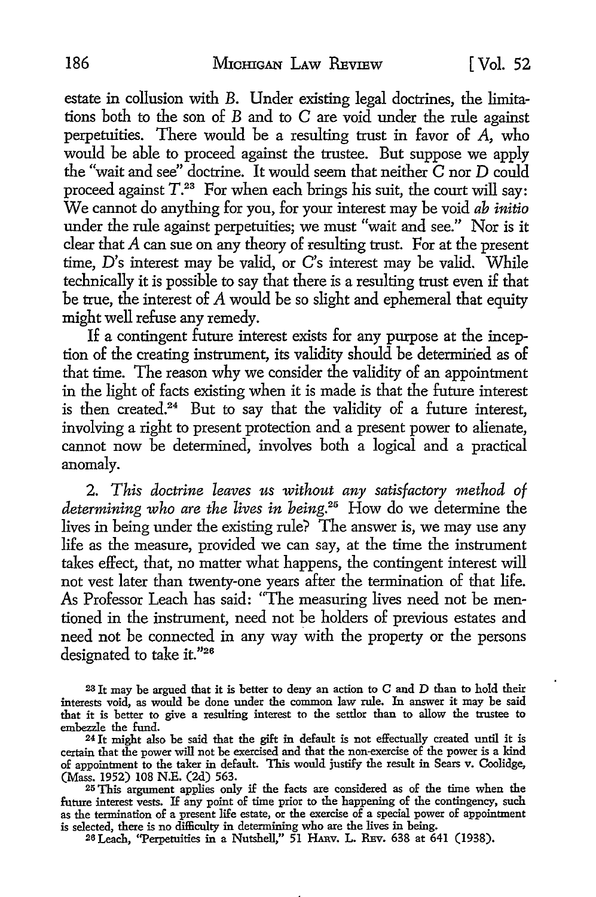estate in collusion with B. Under existing legal doctrines, the limitations both to the son of B and to C are void under the rule against perpetuities. There would be a resulting trust in favor of  $A$ , who would be able to proceed against the trustee. But suppose we apply the "wait and see" doctrine. It would seem that neither  $\tilde{C}$  nor  $D$  could proceed against  $T^{23}$  For when each brings his suit, the court will say: We cannot do anything for you, for your interest may be void *ab initio*  under the rule against perpetuities; we must "wait and see." Nor is it clear that A can sue on any theory of resulting trust. For at the present time, D's interest may be valid, or C's interest may be valid. While technically it is possible to say that there is a resulting trust even if that be true, the interest of A would be so slight and ephemeral that equity might well refuse any remedy.

If a contingent future interest exists for any purpose at the inception of the creating instrument, its validity should be determined as of that time. The reason why we consider the validity of an appointment in the light of facts existing when it is made is that the future interest is then created.<sup>24</sup> But to say that the validity of a future interest, involving a right to present protection and a present power to alienate, cannot now be determined, involves both a logical and a practical anomaly.

2. *This doctrine leaves us without any satisfactory method of determining who are the lives in being.25* How do we determine the lives in being under the existing rule? The answer is, we may use any life as the measure, provided we can say, at the time the instrument takes effect, that, no matter what happens, the contingent interest will not vest later than twenty-one years after the termination of that life. As Professor Leach has said: "The measuring lives need not be mentioned in the instrument, need not be holders of previous estates and need not be connected in any way with the property or the persons designated to take it."26

<sup>23</sup>It may be argued that it is better to deny an action to C and D than to hold their interests void, as would be done under the common law rule. In answer it may be said that it is better to give a resulting interest to the settlor than to allow the trustee to

embezzle the fund. 24 It might also be said that the gift in default is not effectually created until it is certain that the power will not be exercised and that the non--exercise of the power is a kind of appointment to the taker in default. This would justify the result in Sears v. Coolidge, (Mass. 1952) 108 N.E. (2d) 563.

25 This argument applies only if the facts are considered as of the time when the future interest vests. If any point of time prior to the happening of the contingency, such as the termination of a present life estate, or the exercise of a special power of appointment is selected, there is no difficulty in determining who are the lives in being.

26 Leach, "Perpetuities in a Nutshell," 51 HARv. L. REv. 638 at 641 (1938).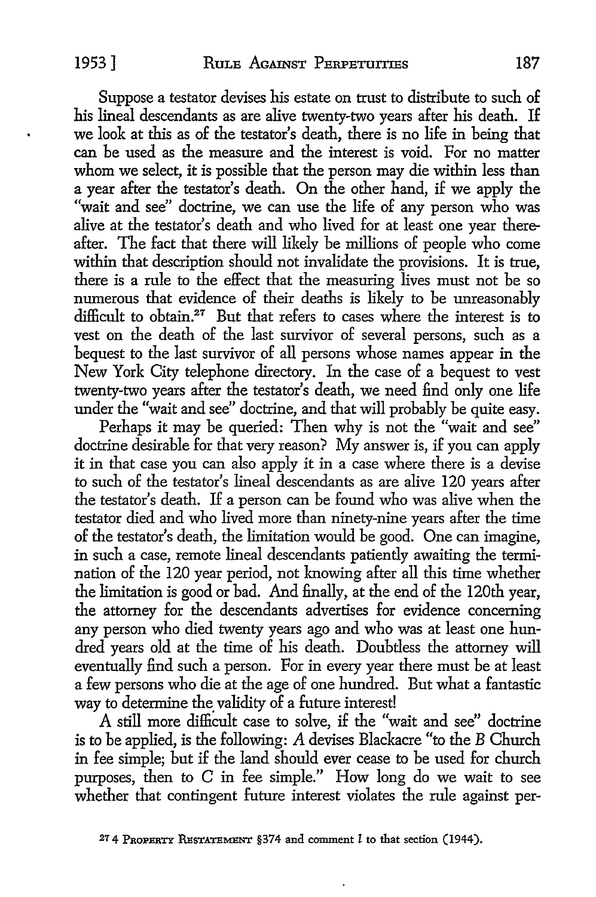Suppose a testator devises his estate on trust to distribute to such of his lineal descendants as are alive twenty-two years after his death. If we look at this as of the testator's death, there is no life in being that can be used as the measure and the interest is void. For no matter whom we select, it is possible that the person may die within less than a year after the testator's death. On the other hand, if we apply the "wait and see" doctrine, we can use the life of any person who was alive at the testator's death and who lived for at least one year thereafter. The fact that there will likely be millions of people who come within that description should not invalidate the provisions. It is true, there is a rule to the effect that the measuring lives must not be so numerous that evidence of their deaths is likely to be unreasonably difficult to obtain.<sup>27</sup> But that refers to cases where the interest is to vest on the death of the last survivor of several persons, such as a bequest to the last survivor of all persons whose names appear in the New York City telephone directory. In the case of a bequest to vest twenty-two years after the testator's death, we need find only one life under the "wait and see" doctrine, and that will probably be quite easy.

Perhaps it may be queried: Then why is not the "wait and see" doctrine desirable for that very reason? My answer is, if you can apply it in that case you can also apply it in a case where there is a devise to such of the testator's lineal descendants as are alive 120 years after the testator's death. If a person can be found who was alive when the testator died and who lived more than ninety-nine years after the time of the testator's death, the limitation would be good. One can imagine, in such a case, remote lineal descendants patiently awaiting the termination of the 120 year period, not knowing after all this time whether the limitation is good or bad. And finally, at the end of the 120th year, the attorney for the descendants advertises for evidence concerning any person who died twenty years ago and who was at least one hundred years old at the time of his death. Doubtless the attorney will eventually find such a person. For in every year there must be at least a few persons who die at the age of one hundred. But what a fantastic way to determine the validity of a future interest!

A still more difficult case to solve, if the "wait and see" doctrine is to be applied, is the following: A devises Blackacre "to the B Church in fee simple; but if the land should ever cease to be used for church purposes, then to C in fee simple." How long do we wait to see whether that contingent future interest violates the rule against per-

<sup>27 4</sup> PROPERTY RESTATEMENT §374 and comment *l* to that section (1944).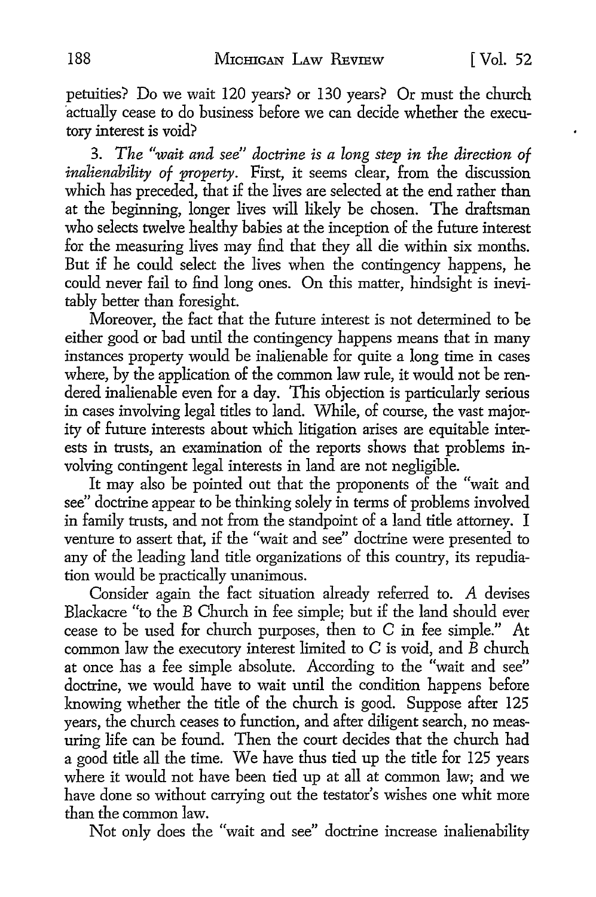petuities? Do we wait 120 years? or 130 years? Or must the church ·actually cease to do business before we can decide whether the executory interest is void?

3. *The "wait and see" doctrine is a long step in the direction of inalienability of property*. First, it seems clear, from the discussion which has preceded, that if the lives are selected at the end rather than at the beginning, longer lives will likely be chosen. The draftsman who selects twelve healthy babies at the inception of the future interest for the measuring lives may find that they all die within six months. But if he could select the lives when the contingency happens, he could never fail to find long ones. On this matter, hindsight is inevitably better than foresight.

Moreover, the fact that the future interest is not determined to be either good or bad until the contingency happens means that in many instances property would be inalienable for quite a long time in cases where, by the application of the common law rule, it would not be rendered inalienable even for a day. This objection is particularly serious in cases involving legal titles to land. While, of course, the vast majority of future interests about which litigation arises are equitable interests in trusts, an examination of the reports shows that problems involving contingent legal interests in land are not negligible.

It may also be pointed out that the proponents of the "wait and see" doctrine appear to be thinking solely in terms of problems involved in family trusts, and not from the standpoint of a land title attorney. I venture to assert that, if the "wait and see" doctrine were presented to any of the leading land title organizations of this country, its repudiation would be practically unanimous.

Consider again the fact situation already referred to. A devises Blackacre "to the B Church in fee simple; but if the land should ever cease to be used for church purposes, then to C in fee simple." At common law the executory interest limited to  $C$  is void, and  $\bar{B}$  church at once has a fee simple absolute. According to the "wait and see" doctrine, we would have to wait until the condition happens before knowing whether the title of the church is good. Suppose after 125 years, the church ceases to function, and after diligent search, no measuring life can be found. Then the court decides that the church had a good title all the time. We have thus tied up the title for 125 years where it would not have been tied up at all at common law; and we have done so without carrying out the testator's wishes one whit more than the common law.

Not only does the "wait and see" doctrine increase inalienability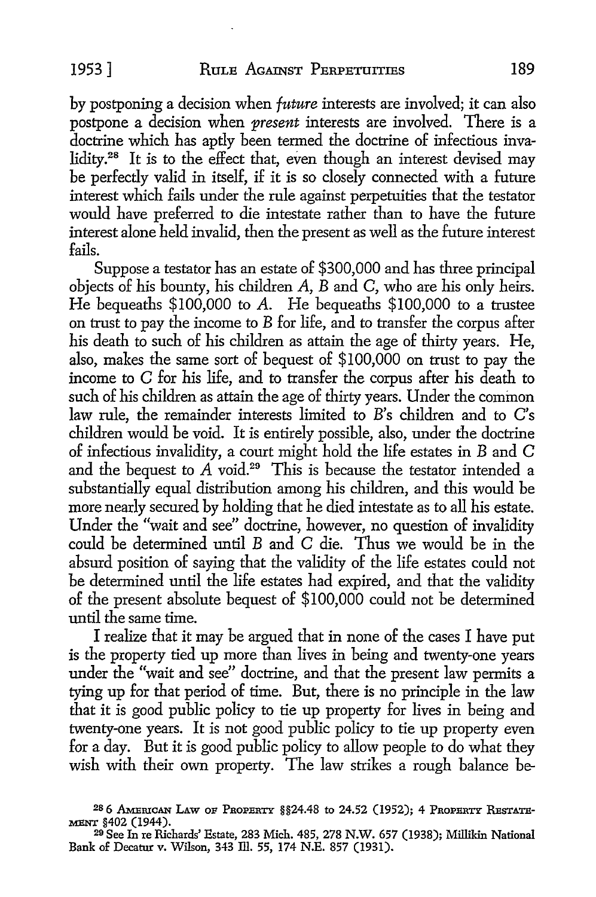by postponing a decision when *future* interests are involved; it can also postpone a decision when *present* interests are involved. There is a doctrine which has aptly been termed the doctrine of infectious invalidity.<sup>28</sup> It is to the effect that, even though an interest devised may be perfectly valid in itself, if it is so closely connected with a future interest which fails under the rule against perpetuities that the testator would have preferred to die intestate rather than to have the future interest alone held invalid, then the present as well as the future interest fails.

Suppose a testator has an estate of \$300,000 and has three principal objects of his bounty, his children  $A$ ,  $B$  and  $C$ , who are his only heirs. He bequeaths \$100,000 to A. He bequeaths \$100,000 to a trustee on trust to pay the income to B for life, and to transfer the corpus after his death to such of his children as attain the age of thirty years. He, also, makes the same sort of bequest of \$100,000 on trust to pay the income to C for his life, and to transfer the corpus after his death to such of his children as attain the age of thirty years. Under the common law rule, the remainder interests limited to *B's* children and to C's children would be void. It is entirely possible, also, under the doctrine of infectious invalidity, a court might hold the life estates in B and C and the bequest to  $\vec{A}$  void.<sup>29</sup> This is because the testator intended a substantially equal distribution among his children, and this would be more nearly secured by holding that he died intestate as to all his estate. Under the "wait and see" doctrine, however, no question of invalidity could be determined until B and C die. Thus we would be in the absurd position of saying that the validity of the life estates could not be determined until the life estates had expired, and that the validity of the present absolute bequest of \$100,000 could not be determined until the same time.

I realize that it may be argued that in none of the cases I have put is the property tied up more than lives in being and twenty-one years under the "wait and see" doctrine, and that the present law permits a tying up for that period of time. But, there is no principle in the law that it is good public policy to tie up property for lives in being and twenty-one years. It is not good public policy to tie up property even for a day. But it is good public policy to allow people to do what they wish with their own property. The law strikes a rough balance be-

<sup>&</sup>lt;sup>28</sup> 6 AMERICAN LAW OF PROPERTY §§24.48 to 24.52 (1952); 4 PROPERTY RESTATE-MENT §402 (1944).

<sup>29</sup> See In re Richards' Estate, 283 Mich. 485, 278 N.W. 657 (1938); Millikin National Bank of Decatur v. Wilson, 343 lli. 55, 174 N.E. 857 (1931).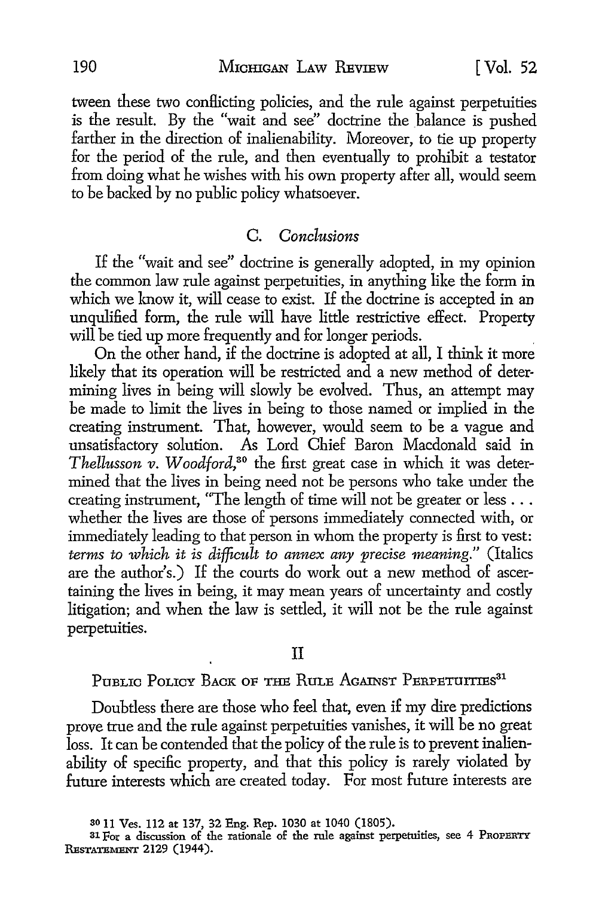tween these two conflicting policies, and the rule against perpetuities is the result. By the "wait and see" doctrine the balance is pushed farther in the direction of inalienability. Moreover, to tie up property for the period of the rule, and then eventually to prohibit a testator from doing what he wishes with his own property after all, would seem to be backed by no public policy whatsoever.

#### C. *Conclusions*

If the "wait and see" doctrine is generally adopted, in my opinion the common law rule against perpetuities, in anything like the form in which we know it, will cease to exist. If the doctrine is accepted in an unqulified form, the rule will have little restrictive effect. Property will be tied up more frequently and for longer periods. .

On the other hand, if the doctrine is adopted at all, I think it more likely that its operation will be restricted and a new method of determining lives in being will slowly be evolved. Thus, an attempt may be made to limit the lives in being to those named or implied in the creating instrument. That, however, would seem to be a vague and unsatisfactory solution. As Lord Chief Baron Macdonald said in *Thellusson v. Woodford,30* the first great case in which it was determined that the lives in being need not be persons who take under the creating instrument, "The length of time will not be greater or less ... whether the lives are those of persons immediately connected with, or immediately leading to that person in whom the property is first to vest: *terms to which it is difficult to annex any precise meaning."* (Italics are the author's.) If the courts do work out a new method of ascertaining the lives in being, it may mean years of uncertainty and costly litigation; and when the law is settled, it will not be the rule against perpetuities.

#### II

## PUBLIC POLICY BACK OF THE RULE AGAINST PERPETUITIES<sup>31</sup>

Doubtless there are those who feel that, even if my dire predictions prove true and the rule against perpetuities vanishes, it will be no great loss. It can be contended that the policy of the rule is to prevent inalienability of specific property, and that this policy js rarely violated by future interests which are created today. For most future interests are

<sup>30</sup>11 Ves. 112 at 137, 32 Eng. Rep. 1030 at 1040 (1805).

 $31$  For a discussion of the rationale of the rule against perpetuities, see 4 PROPERTY RESTATEMENT 2129 (1944).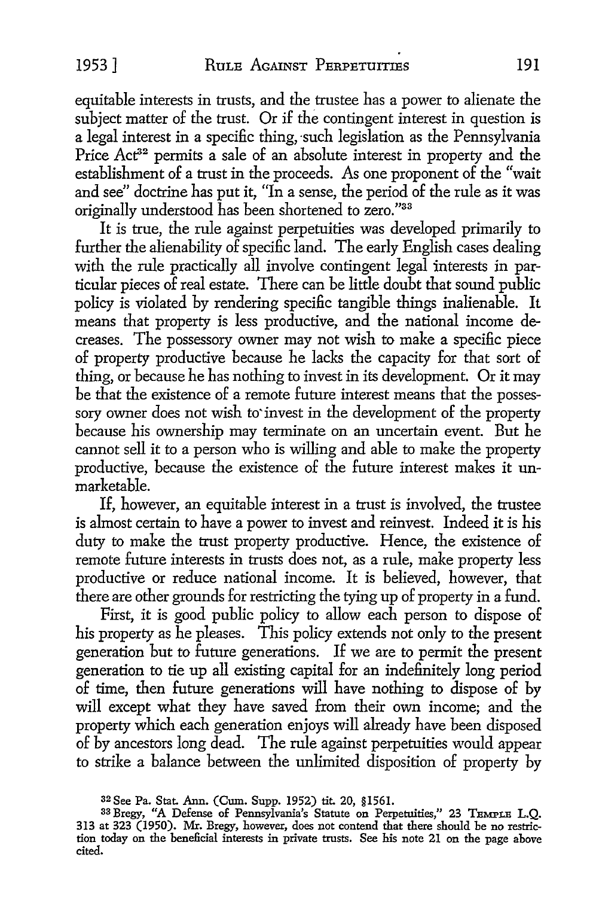equitable interests in trusts, and the trustee has a power to alienate the subject matter of the trust. Or if the contingent interest in question is a legal interest in a specific thing, such legislation as the Pennsylvania Price Act<sup>32</sup> permits a sale of an absolute interest in property and the establishment of a trust in the proceeds. As one proponent of the "wait and see" doctrine has put it, "In a sense, the period of the rule as it was originally understood has been shortened to zero."33

It is true, the rule against perpetuities was developed primarily to further the alienability of specific land. The early English cases dealing with the rule practically all involve contingent legal interests in particular pieces of real estate. There can be little doubt that sound public policy is violated by rendering specific tangible things inalienable. It means that property is less productive, and the national income decreases. The possessory owner may not wish to make a specific piece of property productive because he lacks the capacity for that sort of thing, or because he has nothing to invest in its development. Or it may be that the existence of a remote future interest means that the possessory owner does not wish to invest in the development of the property because his ownership may terminate on an uncertain event. But he cannot sell it to a person who is willing and able to make the property productive, because the existence of the future interest makes it unmarketable.

If, however, an equitable interest in a trust is involved, the trustee is almost certain to have a power to invest and reinvest. Indeed it is his duty to make the trust property productive. Hence, the existence of remote future interests in trusts does not, as a rule, make property less productive or reduce national income. It is believed, however, that there are other grounds for restricting the tying up of property in a fund.

First, it is good public policy to allow each person to dispose of his property as he pleases. This policy extends not only to the present generation but to future generations. If we are to permit the present generation to tie up all existing capital for an indefinitely long period of time, then future generations will have nothing to dispose of by will except what they have saved from their own income; and the property which each generation enjoys will already have been disposed of by ancestors long dead. The rule against perpetuities would appear to strike a balance between the unlimited disposition of property by

<sup>32</sup> See Pa. Stat. Ann. (Cum. Supp. 1952) tit. 20, §1561.

<sup>33</sup> Bregy, "A Defense of Pennsylvania's Statute on Perpetuities," 23 TEMPLE L.Q. 313 at 323 (1950). Mr. Bregy, however, does not contend that there should be no restriction today on the beneficial interests in private trusts. See his note 21 on the page above cited.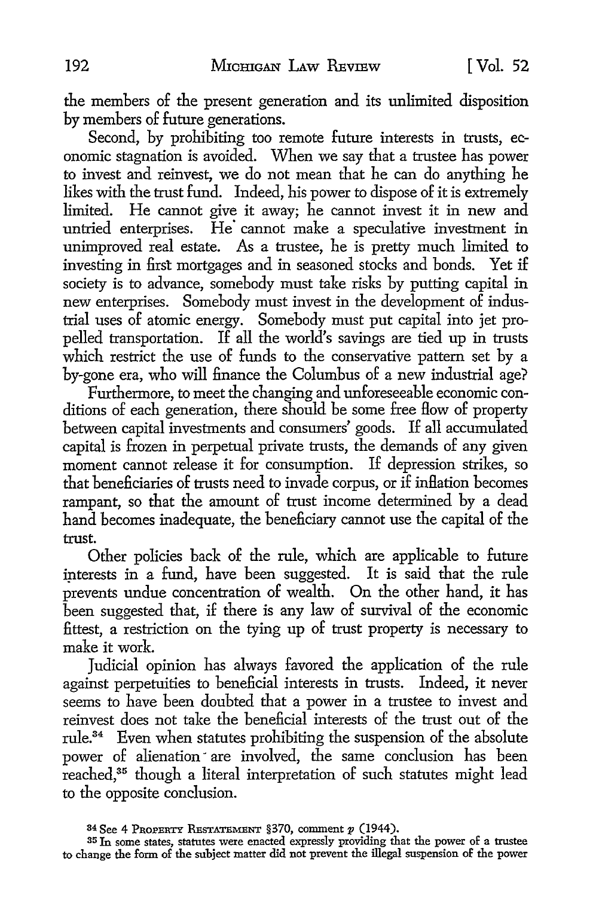the members of the present generation and its unlimited disposition by members of future generations.

Second, by prohibiting too remote future interests in trusts, economic stagnation is avoided. When we say that a trustee has power to invest and reinvest, we do not mean that he can do anything he likes with the trust fund. Indeed, his power to dispose of it is extremely limited. He cannot give it away; he cannot invest it in new and untried enterprises. He cannot make a speculative investment in unimproved real estate. As a trustee, he is pretty much limited to investing in first mortgages and in seasoned stocks and bonds. Yet if society is to advance, somebody must take risks by putting capital in new enterprises. Somebody must invest in the development of industrial uses of atomic energy. Somebody must put capital into jet propelled transportation. If all the world's savings are tied up in trusts which restrict the use of funds to the conservative pattern set by a by-gone era, who will finance the Columbus of a new industrial age?

Furthermore, to meet the changing and unforeseeable economic conditions of each generation, there should be some free How of property between capital investments and consumers' goods. If all accumulated capital is frozen in perpetual private trusts, the demands of any given moment cannot release it for consumption. If depression strikes, so that beneficiaries of trusts need to invade corpus, or if inflation becomes rampant, so that the amount of trust income determined by a dead hand becomes inadequate, the beneficiary cannot use the capital of the trust.

Other policies back of the rule, which are applicable to future interests in a fund, have been suggested. It is said that the rule prevents undue concentration of wealth. On the other hand, it has been suggested that, if there is any law of survival of the economic fittest, a restriction on the tying up of trust property is necessary to make it work.

Judicial opinion has always favored the application of the rule against perpetuities to beneficial interests in trusts. Indeed, it never seems to have been doubted that a power in a trustee to invest and reinvest does not take the beneficial interests of the trust out of the rule.<sup>34</sup> Even when statutes prohibiting the suspension of the absolute power of alienation are involved, the same conclusion has been reached,35 though a literal interpretation of such statutes might lead to the opposite conclusion.

<sup>34</sup>See 4 PROPERTY RESTATEMENT §370, comment *p* (1944).

<sup>35</sup> In some states, statutes were enacted expressly providing that the power of a trustee to change the form of the subject matter did not prevent the illegal suspension of the power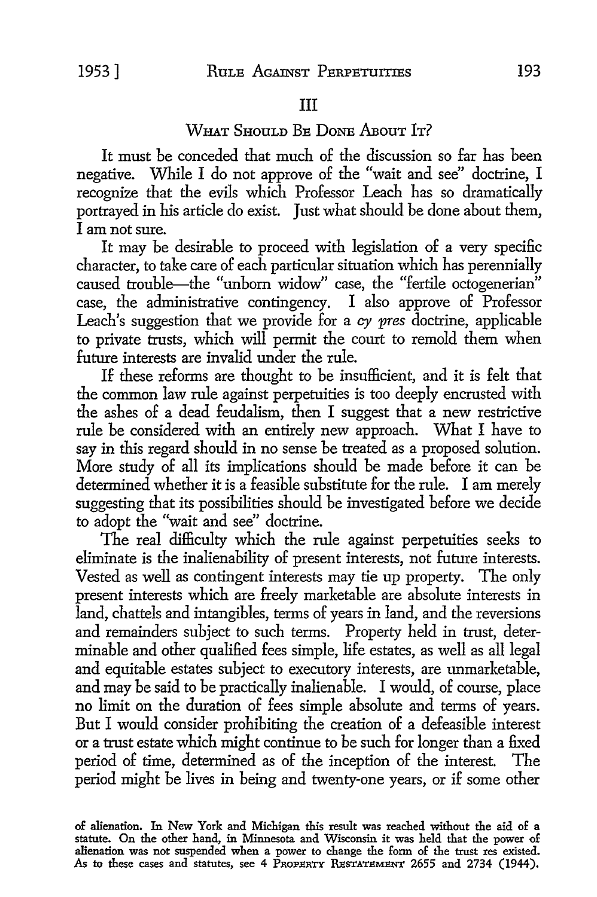### III

## WHAT SHOULD BE DONE ABOUT IT?

It must be conceded that much of the discussion so far has been negative. While I do not approve of the "wait and see' doctrine, I recognize that the evils which Professor Leach has so dramatically portrayed in his article do exist. Just what should be done about them, I am not sure.

It may be desirable *to* proceed with legislation of a very specific character, to take care of each particular situation which has perennially caused trouble—the "unborn widow" case, the "fertile octogenerian" case, the administrative contingency. I also approve of Professor Leach's suggestion that we provide for a *cy pres* doctrine, applicable to private trusts, which will permit the court to remold them when future interests are invalid under the rule.

If these reforms are thought *to* be insufficient, and it is felt that the common law rule against perpetuities is too deeply encrusted with the ashes of a dead feudalism, then I suggest that a new restrictive rule be considered with an entirely new approach. What I have *to*  say in this regard should in no sense be treated as a proposed solution. More study of all its implications should be made before it can be determined whether it is a feasible substitute for the rule. I am merely suggesting that its possibilities should be investigated before we decide to adopt the "wait and see" doctrine.

The real difficulty which the rule against perpetuities seeks to eliminate is the inalienability of present interests, not future interests. Vested as well as contingent interests may tie up property. The only present interests which are freely marketable are absolute interests in land, chattels and intangibles, terms of years in land, and the reversions and remainders subject to such terms. Property held in trust, determinable and other qualified fees simple, life estates, as well as all legal and equitable estates subject *to* executory interests, are unmarketable, and may be said to be practically inalienable. I would, of course, place no limit on the duration of fees simple absolute and terms of years. But I would consider prohibiting the creation of a defeasible interest or a trust estate which might continue to be such for longer than a fixed period of time, determined as of the inception of the interest. The period might be lives in being and twenty-one years, or if some other

of alienation. In New York and Michigan this result was reached without the aid of a statute. On the other hand, in Minnesota and Wisconsin it was held that the power of alienation was not suspended when a power to change the form of the trust res existed. As to these cases and statutes, see 4 PROPERTY RESTATEMENT 2655 and 2734 (1944).